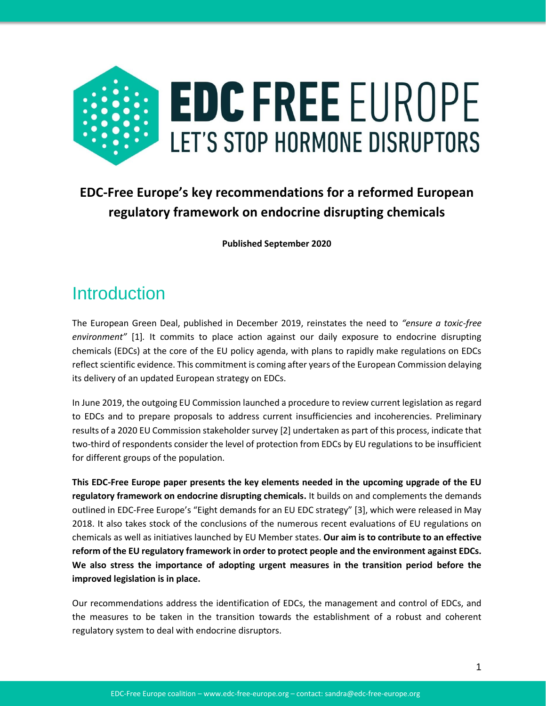

## **EDC-Free Europe's key recommendations for a reformed European regulatory framework on endocrine disrupting chemicals**

**Published September 2020**

## **Introduction**

The European Green Deal, published in December 2019, reinstates the need to *"ensure a toxic-free environment"* [1]*.* It commits to place action against our daily exposure to endocrine disrupting chemicals (EDCs) at the core of the EU policy agenda, with plans to rapidly make regulations on EDCs reflect scientific evidence. This commitment is coming after years of the European Commission delaying its delivery of an updated European strategy on EDCs.

In June 2019, the outgoing EU Commission launched a procedure to review current legislation as regard to EDCs and to prepare proposals to address current insufficiencies and incoherencies. Preliminary results of a 2020 EU Commission stakeholder survey [2] undertaken as part of this process, indicate that two-third of respondents consider the level of protection from EDCs by EU regulations to be insufficient for different groups of the population.

**This EDC-Free Europe paper presents the key elements needed in the upcoming upgrade of the EU regulatory framework on endocrine disrupting chemicals.** It builds on and complements the demands outlined in EDC-Free Europe's "Eight demands for an EU EDC strategy" [3], which were released in May 2018. It also takes stock of the conclusions of the numerous recent evaluations of EU regulations on chemicals as well as initiatives launched by EU Member states. **Our aim is to contribute to an effective reform of the EU regulatory framework in order to protect people and the environment against EDCs. We also stress the importance of adopting urgent measures in the transition period before the improved legislation is in place.**

Our recommendations address the identification of EDCs, the management and control of EDCs, and the measures to be taken in the transition towards the establishment of a robust and coherent regulatory system to deal with endocrine disruptors.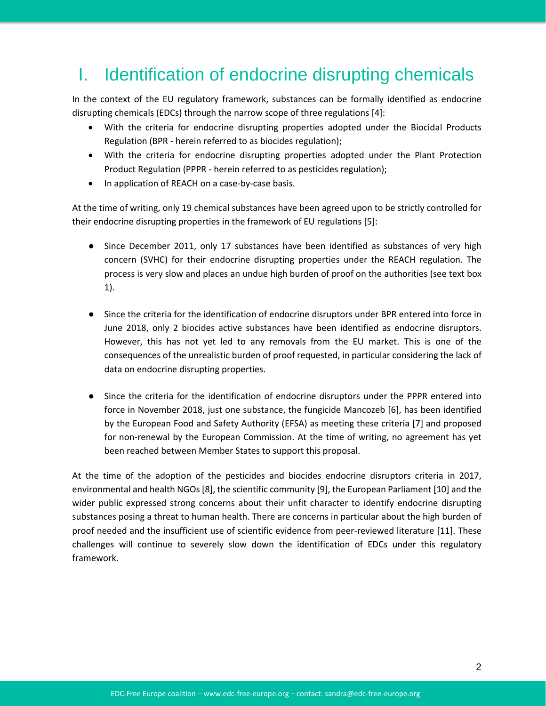## I. Identification of endocrine disrupting chemicals

In the context of the EU regulatory framework, substances can be formally identified as endocrine disrupting chemicals (EDCs) through the narrow scope of three regulations [4]:

- With the criteria for endocrine disrupting properties adopted under the Biocidal Products Regulation (BPR - herein referred to as biocides regulation);
- With the criteria for endocrine disrupting properties adopted under the Plant Protection Product Regulation (PPPR - herein referred to as pesticides regulation);
- In application of REACH on a case-by-case basis.

At the time of writing, only 19 chemical substances have been agreed upon to be strictly controlled for their endocrine disrupting properties in the framework of EU regulations [5]:

- Since December 2011, only 17 substances have been identified as substances of very high concern (SVHC) for their endocrine disrupting properties under the REACH regulation. The process is very slow and places an undue high burden of proof on the authorities (see text box 1).
- Since the criteria for the identification of endocrine disruptors under BPR entered into force in June 2018, only 2 biocides active substances have been identified as endocrine disruptors. However, this has not yet led to any removals from the EU market. This is one of the consequences of the unrealistic burden of proof requested, in particular considering the lack of data on endocrine disrupting properties.
- Since the criteria for the identification of endocrine disruptors under the PPPR entered into force in November 2018, just one substance, the fungicide Mancozeb [6], has been identified by the European Food and Safety Authority (EFSA) as meeting these criteria [7] and proposed for non-renewal by the European Commission. At the time of writing, no agreement has yet been reached between Member States to support this proposal.

At the time of the adoption of the pesticides and biocides endocrine disruptors criteria in 2017, environmental and health NGOs [8], the scientific community [9], the European Parliament [10] and the wider public expressed strong concerns about their unfit character to identify endocrine disrupting substances posing a threat to human health. There are concerns in particular about the high burden of proof needed and the insufficient use of scientific evidence from peer-reviewed literature [11]. These challenges will continue to severely slow down the identification of EDCs under this regulatory framework.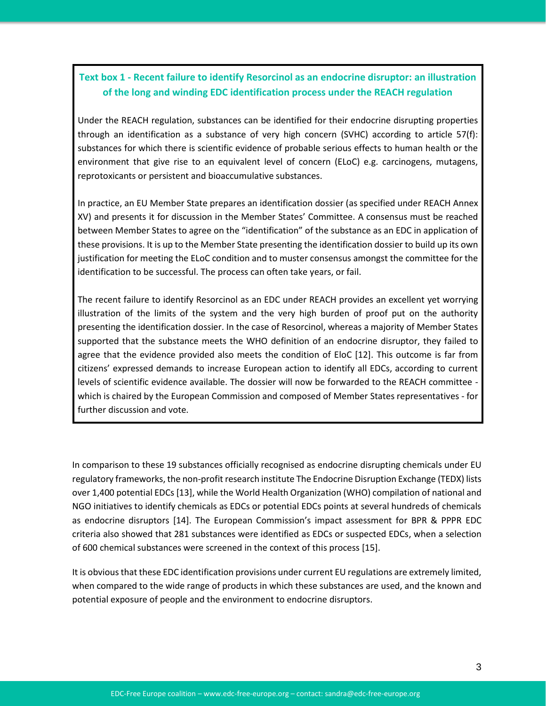#### **Text box 1 - Recent failure to identify Resorcinol as an endocrine disruptor: an illustration of the long and winding EDC identification process under the REACH regulation**

Under the REACH regulation, substances can be identified for their endocrine disrupting properties through an identification as a substance of very high concern (SVHC) according to article 57(f): substances for which there is scientific evidence of probable serious effects to human health or the environment that give rise to an equivalent level of concern (ELoC) e.g. carcinogens, mutagens, reprotoxicants or persistent and bioaccumulative substances.

In practice, an EU Member State prepares an identification dossier (as specified under REACH Annex XV) and presents it for discussion in the Member States' Committee. A consensus must be reached between Member States to agree on the "identification" of the substance as an EDC in application of these provisions. It is up to the Member State presenting the identification dossier to build up its own justification for meeting the ELoC condition and to muster consensus amongst the committee for the identification to be successful. The process can often take years, or fail.

The recent failure to identify Resorcinol as an EDC under REACH provides an excellent yet worrying illustration of the limits of the system and the very high burden of proof put on the authority presenting the identification dossier. In the case of Resorcinol, whereas a majority of Member States supported that the substance meets the WHO definition of an endocrine disruptor, they failed to agree that the evidence provided also meets the condition of EloC [12]. This outcome is far from citizens' expressed demands to increase European action to identify all EDCs, according to current levels of scientific evidence available. The dossier will now be forwarded to the REACH committee which is chaired by the European Commission and composed of Member States representatives - for further discussion and vote.

In comparison to these 19 substances officially recognised as endocrine disrupting chemicals under EU regulatory frameworks, the non-profit research institute The Endocrine Disruption Exchange (TEDX) lists over 1,400 potential EDCs [13], while the World Health Organization (WHO) compilation of national and NGO initiatives to identify chemicals as EDCs or potential EDCs points at several hundreds of chemicals as endocrine disruptors [14]. The European Commission's impact assessment for BPR & PPPR EDC criteria also showed that 281 substances were identified as EDCs or suspected EDCs, when a selection of 600 chemical substances were screened in the context of this process [15].

It is obvious that these EDC identification provisions under current EU regulations are extremely limited, when compared to the wide range of products in which these substances are used, and the known and potential exposure of people and the environment to endocrine disruptors.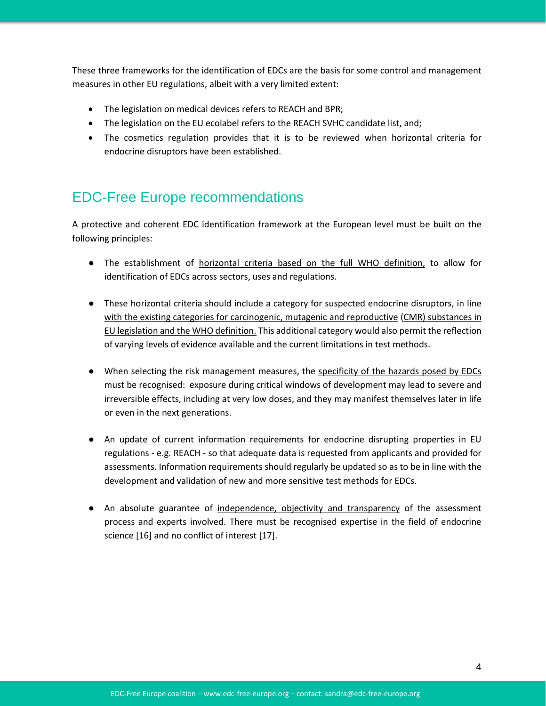These three frameworks for the identification of EDCs are the basis for some control and management measures in other EU regulations, albeit with a very limited extent:

- The legislation on medical devices refers to REACH and BPR;
- The legislation on the EU ecolabel refers to the REACH SVHC candidate list, and;
- The cosmetics regulation provides that it is to be reviewed when horizontal criteria for endocrine disruptors have been established.

### EDC-Free Europe recommendations

A protective and coherent EDC identification framework at the European level must be built on the following principles:

- The establishment of horizontal criteria based on the full WHO definition, to allow for identification of EDCs across sectors, uses and regulations.
- These horizontal criteria should include a category for suspected endocrine disruptors, in line with the existing categories for carcinogenic, mutagenic and reproductive (CMR) substances in EU legislation and the WHO definition. This additional category would also permit the reflection of varying levels of evidence available and the current limitations in test methods.
- When selecting the risk management measures, the specificity of the hazards posed by EDCs must be recognised: exposure during critical windows of development may lead to severe and irreversible effects, including at very low doses, and they may manifest themselves later in life or even in the next generations.
- An update of current information requirements for endocrine disrupting properties in EU regulations - e.g. REACH - so that adequate data is requested from applicants and provided for assessments. Information requirements should regularly be updated so as to be in line with the development and validation of new and more sensitive test methods for EDCs.
- An absolute guarantee of independence, objectivity and transparency of the assessment process and experts involved. There must be recognised expertise in the field of endocrine science [16] and no conflict of interest [17].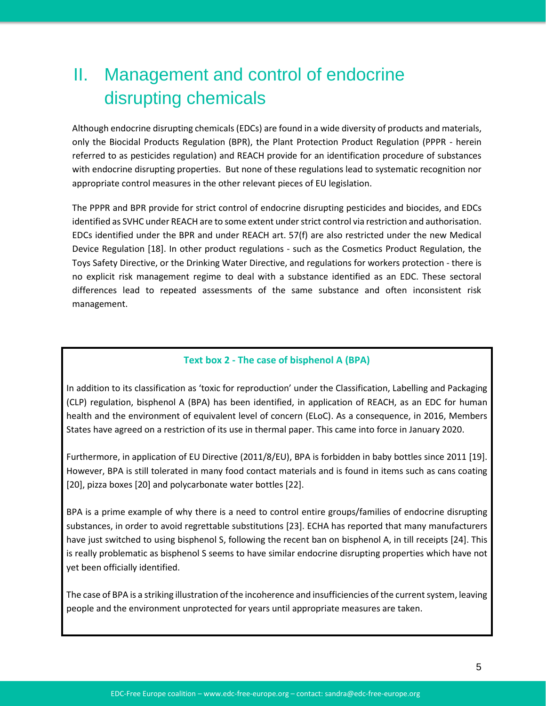## II. Management and control of endocrine disrupting chemicals

Although endocrine disrupting chemicals (EDCs) are found in a wide diversity of products and materials, only the Biocidal Products Regulation (BPR), the Plant Protection Product Regulation (PPPR - herein referred to as pesticides regulation) and REACH provide for an identification procedure of substances with endocrine disrupting properties. But none of these regulations lead to systematic recognition nor appropriate control measures in the other relevant pieces of EU legislation.

The PPPR and BPR provide for strict control of endocrine disrupting pesticides and biocides, and EDCs identified as SVHC under REACH are to some extent under strict control via restriction and authorisation. EDCs identified under the BPR and under REACH art. 57(f) are also restricted under the new Medical Device Regulation [18]. In other product regulations - such as the Cosmetics Product Regulation, the Toys Safety Directive, or the Drinking Water Directive, and regulations for workers protection - there is no explicit risk management regime to deal with a substance identified as an EDC. These sectoral differences lead to repeated assessments of the same substance and often inconsistent risk management.

#### **Text box 2 - The case of bisphenol A (BPA)**

In addition to its classification as 'toxic for reproduction' under the Classification, Labelling and Packaging (CLP) regulation, bisphenol A (BPA) has been identified, in application of REACH, as an EDC for human health and the environment of equivalent level of concern (ELoC). As a consequence, in 2016, Members States have agreed on a restriction of its use in thermal paper. This came into force in January 2020.

Furthermore, in application of EU Directive (2011/8/EU), BPA is forbidden in baby bottles since 2011 [19]. However, BPA is still tolerated in many food contact materials and is found in items such as cans coating [20], pizza boxes [20] and polycarbonate water bottles [22].

BPA is a prime example of why there is a need to control entire groups/families of endocrine disrupting substances, in order to avoid regrettable substitutions [23]. ECHA has reported that many manufacturers have just switched to using bisphenol S, following the recent ban on bisphenol A, in till receipts [24]. This is really problematic as bisphenol S seems to have similar endocrine disrupting properties which have not yet been officially identified.

The case of BPA is a striking illustration of the incoherence and insufficiencies of the current system, leaving people and the environment unprotected for years until appropriate measures are taken.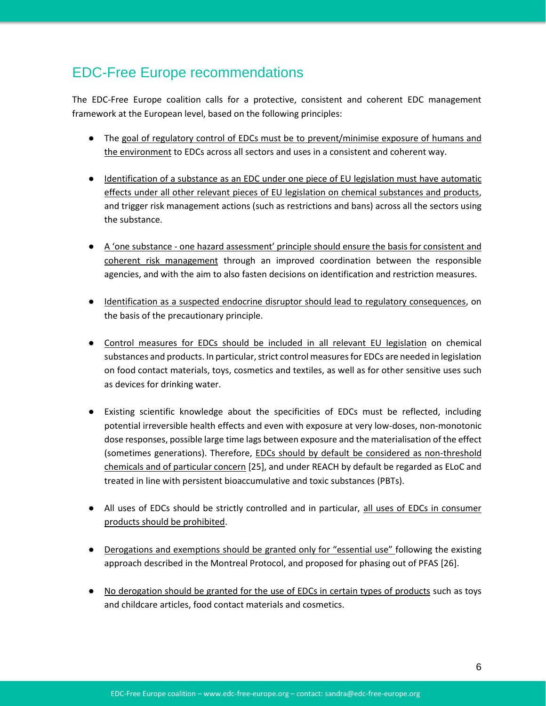## EDC-Free Europe recommendations

The EDC-Free Europe coalition calls for a protective, consistent and coherent EDC management framework at the European level, based on the following principles:

- The goal of regulatory control of EDCs must be to prevent/minimise exposure of humans and the environment to EDCs across all sectors and uses in a consistent and coherent way.
- Identification of a substance as an EDC under one piece of EU legislation must have automatic effects under all other relevant pieces of EU legislation on chemical substances and products, and trigger risk management actions (such as restrictions and bans) across all the sectors using the substance.
- A 'one substance one hazard assessment' principle should ensure the basis for consistent and coherent risk management through an improved coordination between the responsible agencies, and with the aim to also fasten decisions on identification and restriction measures.
- Identification as a suspected endocrine disruptor should lead to regulatory consequences, on the basis of the precautionary principle.
- Control measures for EDCs should be included in all relevant EU legislation on chemical substances and products. In particular, strict control measures for EDCs are needed in legislation on food contact materials, toys, cosmetics and textiles, as well as for other sensitive uses such as devices for drinking water.
- Existing scientific knowledge about the specificities of EDCs must be reflected, including potential irreversible health effects and even with exposure at very low-doses, non-monotonic dose responses, possible large time lags between exposure and the materialisation of the effect (sometimes generations). Therefore, EDCs should by default be considered as non-threshold chemicals and of particular concern [25], and under REACH by default be regarded as ELoC and treated in line with persistent bioaccumulative and toxic substances (PBTs).
- All uses of EDCs should be strictly controlled and in particular, all uses of EDCs in consumer products should be prohibited.
- Derogations and exemptions should be granted only for "essential use" following the existing approach described in the Montreal Protocol, and proposed for phasing out of PFAS [26].
- No derogation should be granted for the use of EDCs in certain types of products such as toys and childcare articles, food contact materials and cosmetics.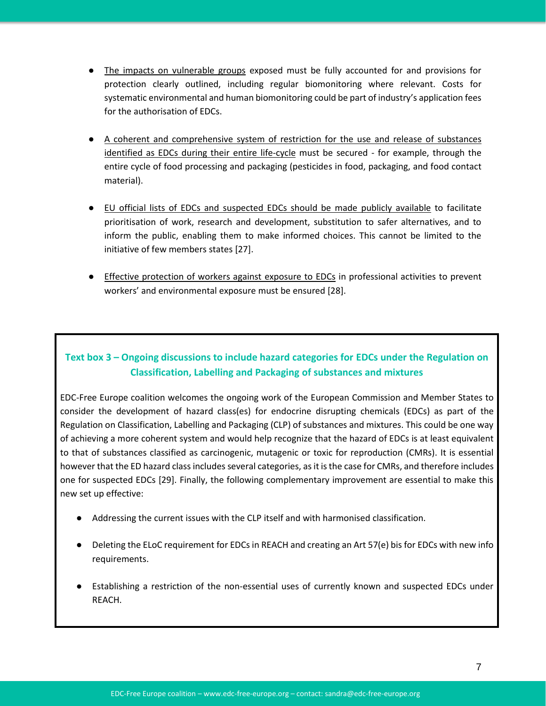- The impacts on vulnerable groups exposed must be fully accounted for and provisions for protection clearly outlined, including regular biomonitoring where relevant. Costs for systematic environmental and human biomonitoring could be part of industry's application fees for the authorisation of EDCs.
- A coherent and comprehensive system of restriction for the use and release of substances identified as EDCs during their entire life-cycle must be secured - for example, through the entire cycle of food processing and packaging (pesticides in food, packaging, and food contact material).
- EU official lists of EDCs and suspected EDCs should be made publicly available to facilitate prioritisation of work, research and development, substitution to safer alternatives, and to inform the public, enabling them to make informed choices. This cannot be limited to the initiative of few members states [27].
- Effective protection of workers against exposure to EDCs in professional activities to prevent workers' and environmental exposure must be ensured [28].

#### **Text box 3 – Ongoing discussions to include hazard categories for EDCs under the Regulation on Classification, Labelling and Packaging of substances and mixtures**

EDC-Free Europe coalition welcomes the ongoing work of the European Commission and Member States to consider the development of hazard class(es) for endocrine disrupting chemicals (EDCs) as part of the Regulation on Classification, Labelling and Packaging (CLP) of substances and mixtures. This could be one way of achieving a more coherent system and would help recognize that the hazard of EDCs is at least equivalent to that of substances classified as carcinogenic, mutagenic or toxic for reproduction (CMRs). It is essential however that the ED hazard class includes several categories, as it is the case for CMRs, and therefore includes one for suspected EDCs [29]. Finally, the following complementary improvement are essential to make this new set up effective:

- Addressing the current issues with the CLP itself and with harmonised classification.
- Deleting the ELoC requirement for EDCs in REACH and creating an Art 57(e) bis for EDCs with new info requirements.
- Establishing a restriction of the non-essential uses of currently known and suspected EDCs under REACH.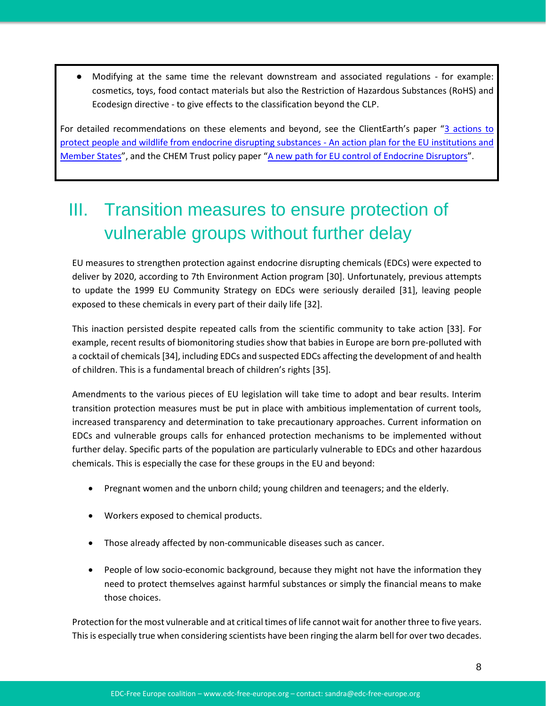Modifying at the same time the relevant downstream and associated regulations - for example: cosmetics, toys, food contact materials but also the Restriction of Hazardous Substances (RoHS) and Ecodesign directive - to give effects to the classification beyond the CLP.

For detailed recommendations on these elements and beyond, see the ClientEarth's paper "3 actions to [protect people and wildlife from endocrine disrupting substances -](https://www.documents.clientearth.org/wp-content/uploads/library/2020-09-16-3-actions-to-protect-people-and-wildlife-from-edcs-ce-en.pdf) An action plan for the EU institutions and [Member States](https://www.documents.clientearth.org/wp-content/uploads/library/2020-09-16-3-actions-to-protect-people-and-wildlife-from-edcs-ce-en.pdf)", and the CHEM Trust policy paper "[A new path for EU control of Endocrine Disruptors](https://chemtrust.org/wp-content/uploads/CHEMTrust-newEDPolicy-July2020.pdf)".

# III. Transition measures to ensure protection of vulnerable groups without further delay

EU measures to strengthen protection against endocrine disrupting chemicals (EDCs) were expected to deliver by 2020, according to 7th Environment Action program [30]. Unfortunately, previous attempts to update the 1999 EU Community Strategy on EDCs were seriously derailed [31], leaving people exposed to these chemicals in every part of their daily life [32].

This inaction persisted despite repeated calls from the scientific community to take action [33]. For example, recent results of biomonitoring studies show that babies in Europe are born pre-polluted with a cocktail of chemicals[34], including EDCs and suspected EDCs affecting the development of and health of children. This is a fundamental breach of children's rights [35].

Amendments to the various pieces of EU legislation will take time to adopt and bear results. Interim transition protection measures must be put in place with ambitious implementation of current tools, increased transparency and determination to take precautionary approaches. Current information on EDCs and vulnerable groups calls for enhanced protection mechanisms to be implemented without further delay. Specific parts of the population are particularly vulnerable to EDCs and other hazardous chemicals. This is especially the case for these groups in the EU and beyond:

- Pregnant women and the unborn child; young children and teenagers; and the elderly.
- Workers exposed to chemical products.
- Those already affected by non-communicable diseases such as cancer.
- People of low socio-economic background, because they might not have the information they need to protect themselves against harmful substances or simply the financial means to make those choices.

Protection for the most vulnerable and at critical times of life cannot wait for another three to five years. This is especially true when considering scientists have been ringing the alarm bell for over two decades.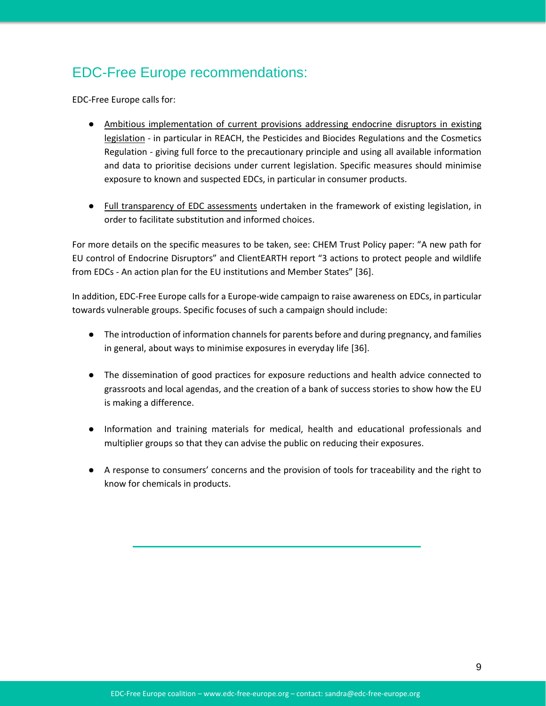## EDC-Free Europe recommendations:

EDC-Free Europe calls for:

- Ambitious implementation of current provisions addressing endocrine disruptors in existing legislation - in particular in REACH, the Pesticides and Biocides Regulations and the Cosmetics Regulation - giving full force to the precautionary principle and using all available information and data to prioritise decisions under current legislation. Specific measures should minimise exposure to known and suspected EDCs, in particular in consumer products.
- Full transparency of EDC assessments undertaken in the framework of existing legislation, in order to facilitate substitution and informed choices.

For more details on the specific measures to be taken, see: CHEM Trust Policy paper: "A new path for EU control of Endocrine Disruptors" and ClientEARTH report "3 actions to protect people and wildlife from EDCs - An action plan for the EU institutions and Member States" [36].

In addition, EDC-Free Europe calls for a Europe-wide campaign to raise awareness on EDCs, in particular towards vulnerable groups. Specific focuses of such a campaign should include:

- The introduction of information channels for parents before and during pregnancy, and families in general, about ways to minimise exposures in everyday life [36].
- The dissemination of good practices for exposure reductions and health advice connected to grassroots and local agendas, and the creation of a bank of success stories to show how the EU is making a difference.
- Information and training materials for medical, health and educational professionals and multiplier groups so that they can advise the public on reducing their exposures.
- A response to consumers' concerns and the provision of tools for traceability and the right to know for chemicals in products.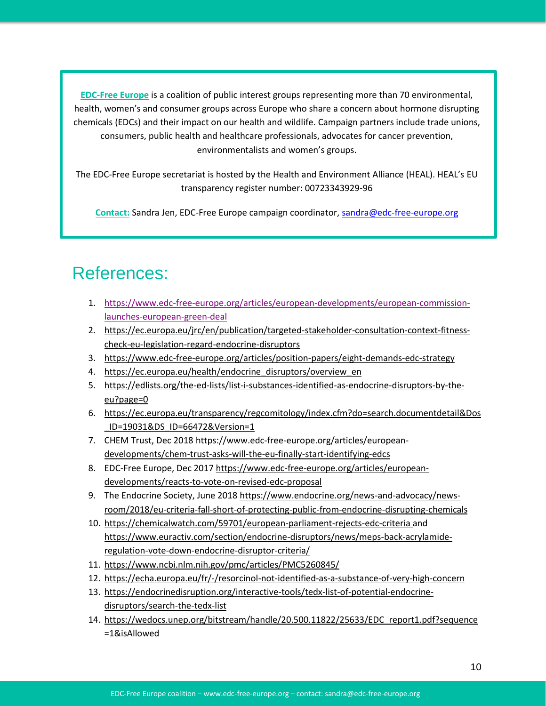**[EDC-Free Europe](https://www.edc-free-europe.org/)** is a coalition of public interest groups representing more than 70 environmental, health, women's and consumer groups across Europe who share a concern about hormone disrupting chemicals (EDCs) and their impact on our health and wildlife. Campaign partners include trade unions, consumers, public health and healthcare professionals, advocates for cancer prevention, environmentalists and women's groups.

The EDC-Free Europe secretariat is hosted by the Health and Environment Alliance (HEAL). HEAL's EU transparency register number: 00723343929-96

**Contact:** Sandra Jen, EDC-Free Europe campaign coordinator, [sandra@edc-free-europe.org](mailto:sandra@edc-free-europe.org)

## References:

- 1. [https://www.edc-free-europe.org/articles/european-developments/european-commission](https://www.edc-free-europe.org/articles/european-developments/european-commission-launches-european-green-deal)[launches-european-green-deal](https://www.edc-free-europe.org/articles/european-developments/european-commission-launches-european-green-deal)
- 2. [https://ec.europa.eu/jrc/en/publication/targeted-stakeholder-consultation-context-fitness](https://ec.europa.eu/jrc/en/publication/targeted-stakeholder-consultation-context-fitness-check-eu-legislation-regard-endocrine-disruptors)[check-eu-legislation-regard-endocrine-disruptors](https://ec.europa.eu/jrc/en/publication/targeted-stakeholder-consultation-context-fitness-check-eu-legislation-regard-endocrine-disruptors)
- 3. <https://www.edc-free-europe.org/articles/position-papers/eight-demands-edc-strategy>
- 4. https://ec.europa.eu/health/endocrine disruptors/overview en
- 5. [https://edlists.org/the-ed-lists/list-i-substances-identified-as-endocrine-disruptors-by-the](https://edlists.org/the-ed-lists/list-i-substances-identified-as-endocrine-disruptors-by-the-eu?page=0)[eu?page=0](https://edlists.org/the-ed-lists/list-i-substances-identified-as-endocrine-disruptors-by-the-eu?page=0)
- 6. [https://ec.europa.eu/transparency/regcomitology/index.cfm?do=search.documentdetail&Dos](https://ec.europa.eu/transparency/regcomitology/index.cfm?do=search.documentdetail&Dos_ID=19031&DS_ID=66472&Version=1) [\\_ID=19031&DS\\_ID=66472&Version=1](https://ec.europa.eu/transparency/regcomitology/index.cfm?do=search.documentdetail&Dos_ID=19031&DS_ID=66472&Version=1)
- 7. CHEM Trust, Dec 2018 [https://www.edc-free-europe.org/articles/european](https://www.edc-free-europe.org/articles/european-developments/chem-trust-asks-will-the-eu-finally-start-identifying-edcs)[developments/chem-trust-asks-will-the-eu-finally-start-identifying-edcs](https://www.edc-free-europe.org/articles/european-developments/chem-trust-asks-will-the-eu-finally-start-identifying-edcs)
- 8. EDC-Free Europe, Dec 2017 [https://www.edc-free-europe.org/articles/european](https://www.edc-free-europe.org/articles/european-developments/reacts-to-vote-on-revised-edc-proposal)[developments/reacts-to-vote-on-revised-edc-proposal](https://www.edc-free-europe.org/articles/european-developments/reacts-to-vote-on-revised-edc-proposal)
- 9. The Endocrine Society, June 2018 [https://www.endocrine.org/news-and-advocacy/news](https://www.endocrine.org/news-and-advocacy/news-room/2018/eu-criteria-fall-short-of-protecting-public-from-endocrine-disrupting-chemicals)[room/2018/eu-criteria-fall-short-of-protecting-public-from-endocrine-disrupting-chemicals](https://www.endocrine.org/news-and-advocacy/news-room/2018/eu-criteria-fall-short-of-protecting-public-from-endocrine-disrupting-chemicals)
- 10. [https://chemicalwatch.com/59701/european-parliament-rejects-edc-criteria a](https://chemicalwatch.com/59701/european-parliament-rejects-edc-criteria)nd [https://www.euractiv.com/section/endocrine-disruptors/news/meps-back-acrylamide](https://www.euractiv.com/section/endocrine-disruptors/news/meps-back-acrylamide-regulation-vote-down-endocrine-disruptor-criteria/)[regulation-vote-down-endocrine-disruptor-criteria/](https://www.euractiv.com/section/endocrine-disruptors/news/meps-back-acrylamide-regulation-vote-down-endocrine-disruptor-criteria/)
- 11. <https://www.ncbi.nlm.nih.gov/pmc/articles/PMC5260845/>
- 12. <https://echa.europa.eu/fr/-/resorcinol-not-identified-as-a-substance-of-very-high-concern>
- 13. [https://endocrinedisruption.org/interactive-tools/tedx-list-of-potential-endocrine](https://endocrinedisruption.org/interactive-tools/tedx-list-of-potential-endocrine-disruptors/search-the-tedx-list)[disruptors/search-the-tedx-list](https://endocrinedisruption.org/interactive-tools/tedx-list-of-potential-endocrine-disruptors/search-the-tedx-list)
- 14. [https://wedocs.unep.org/bitstream/handle/20.500.11822/25633/EDC\\_report1.pdf?sequence](https://wedocs.unep.org/bitstream/handle/20.500.11822/25633/EDC_report1.pdf?sequence=1&isAllowed) [=1&isAllowed](https://wedocs.unep.org/bitstream/handle/20.500.11822/25633/EDC_report1.pdf?sequence=1&isAllowed)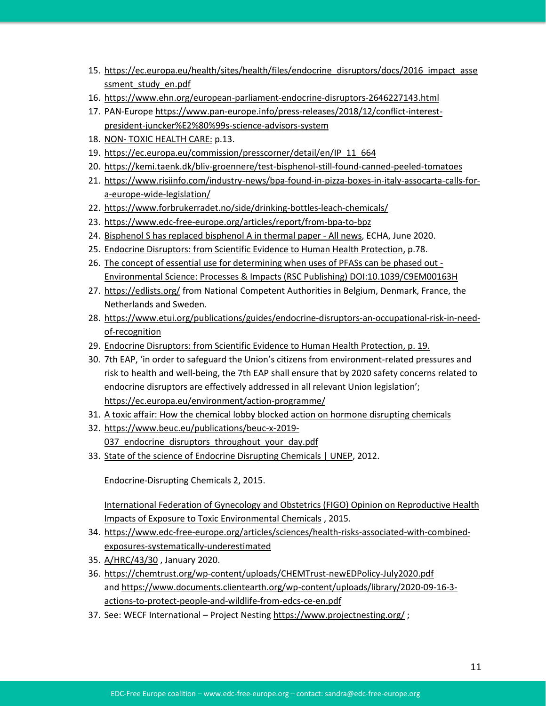- 15. [https://ec.europa.eu/health/sites/health/files/endocrine\\_disruptors/docs/2016\\_impact\\_asse](https://ec.europa.eu/health/sites/health/files/endocrine_disruptors/docs/2016_impact_assessment_study_en.pdf) [ssment\\_study\\_en.pdf](https://ec.europa.eu/health/sites/health/files/endocrine_disruptors/docs/2016_impact_assessment_study_en.pdf)
- 16. <https://www.ehn.org/european-parliament-endocrine-disruptors-2646227143.html>
- 17. PAN-Europe [https://www.pan-europe.info/press-releases/2018/12/conflict-interest](https://www.pan-europe.info/press-releases/2018/12/conflict-interest-president-juncker%E2%80%99s-science-advisors-system)[president-juncker%E2%80%99s-science-advisors-system](https://www.pan-europe.info/press-releases/2018/12/conflict-interest-president-juncker%E2%80%99s-science-advisors-system)
- 18. NON- [TOXIC HEALTH CARE:](https://noharm-europe.org/sites/default/files/documents-files/6154/2019-12-03_HCWH_Non_Toxic_Healthcare_2_WEB.pdf) p.13.
- 19. [https://ec.europa.eu/commission/presscorner/detail/en/IP\\_11\\_664](https://ec.europa.eu/commission/presscorner/detail/en/IP_11_664)
- 20. <https://kemi.taenk.dk/bliv-groennere/test-bisphenol-still-found-canned-peeled-tomatoes>
- 21. [https://www.risiinfo.com/industry-news/bpa-found-in-pizza-boxes-in-italy-assocarta-calls-for](https://www.risiinfo.com/industry-news/bpa-found-in-pizza-boxes-in-italy-assocarta-calls-for-a-europe-wide-legislation/)[a-europe-wide-legislation/](https://www.risiinfo.com/industry-news/bpa-found-in-pizza-boxes-in-italy-assocarta-calls-for-a-europe-wide-legislation/)
- 22. <https://www.forbrukerradet.no/side/drinking-bottles-leach-chemicals/>
- 23. <https://www.edc-free-europe.org/articles/report/from-bpa-to-bpz>
- 24. [Bisphenol S has replaced bisphenol A in thermal paper -](https://echa.europa.eu/-/bisphenol-s-has-replaced-bisphenol-a-in-thermal-paper?utm_source=social&utm_medium=Twitter.com&utm_campaign=Bisphenol) All news, ECHA, June 2020.
- 25. [Endocrine Disruptors: from Scientific Evidence to Human Health Protection,](https://www.europarl.europa.eu/RegData/etudes/STUD/2019/608866/IPOL_STU(2019)608866_EN.pdf) p.78.
- 26. [The concept of essential use for determining when uses of PFASs can be phased out -](https://pubs.rsc.org/en/content/articlehtml/2019/em/c9em00163h?page=search) [Environmental Science: Processes & Impacts \(RSC Publishing\) DOI:10.1039/C9EM00163H](https://pubs.rsc.org/en/content/articlehtml/2019/em/c9em00163h?page=search)
- 27. <https://edlists.org/> from National Competent Authorities in Belgium, Denmark, France, the Netherlands and Sweden.
- 28. [https://www.etui.org/publications/guides/endocrine-disruptors-an-occupational-risk-in-need](https://www.etui.org/publications/guides/endocrine-disruptors-an-occupational-risk-in-need-of-recognition)[of-recognition](https://www.etui.org/publications/guides/endocrine-disruptors-an-occupational-risk-in-need-of-recognition)
- 29. [Endocrine Disruptors: from Scientific Evidence to Human Health Protection,](https://www.europarl.europa.eu/RegData/etudes/STUD/2019/608866/IPOL_STU(2019)608866_EN.pdf) p. 19.
- 30. 7th EAP, 'in order to safeguard the Union's citizens from environment-related pressures and risk to health and well-being, the 7th EAP shall ensure that by 2020 safety concerns related to endocrine disruptors are effectively addressed in all relevant Union legislation'; <https://ec.europa.eu/environment/action-programme/>
- 31. [A toxic affair: How the chemical lobby blocked action on hormone disrupting chemicals](https://corporateeurope.org/en/pressreleases/2015/05/toxic-affair-how-chemical-lobby-blocked-action-hormone-disrupting-chemicals)
- 32. [https://www.beuc.eu/publications/beuc-x-2019-](https://www.beuc.eu/publications/beuc-x-2019-037_endocrine_disruptors_throughout_your_day.pdf) 037 endocrine disruptors throughout your day.pdf
- 33. [State of the science of Endocrine Disrupting Chemicals | UNEP,](https://www.unenvironment.org/resources/report/state-science-endocrine-disrupting-chemicals) 2012.

[Endocrine-Disrupting Chemicals 2,](https://www.endocrine.org/advancing-research/scientific-statements/edc2) 2015.

[International Federation of Gynecology and Obstetrics \(FIGO\) Opinion on Reproductive Health](https://www.ncbi.nlm.nih.gov/pmc/articles/PMC6663094/)  [Impacts of Exposure to Toxic Environmental Chemicals](https://www.ncbi.nlm.nih.gov/pmc/articles/PMC6663094/) , 2015.

- 34. [https://www.edc-free-europe.org/articles/sciences/health-risks-associated-with-combined](https://www.edc-free-europe.org/articles/sciences/health-risks-associated-with-combined-exposures-systematically-underestimated)[exposures-systematically-underestimated](https://www.edc-free-europe.org/articles/sciences/health-risks-associated-with-combined-exposures-systematically-underestimated)
- 35. [A/HRC/43/30](https://undocs.org/A/HRC/43/30) , January 2020.
- 36. <https://chemtrust.org/wp-content/uploads/CHEMTrust-newEDPolicy-July2020.pdf> and [https://www.documents.clientearth.org/wp-content/uploads/library/2020-09-16-3](https://www.documents.clientearth.org/wp-content/uploads/library/2020-09-16-3-actions-to-protect-people-and-wildlife-from-edcs-ce-en.pdf) [actions-to-protect-people-and-wildlife-from-edcs-ce-en.pdf](https://www.documents.clientearth.org/wp-content/uploads/library/2020-09-16-3-actions-to-protect-people-and-wildlife-from-edcs-ce-en.pdf)
- 37. See: WECF International Project Nestin[g https://www.projectnesting.org/](https://www.projectnesting.org/) ;